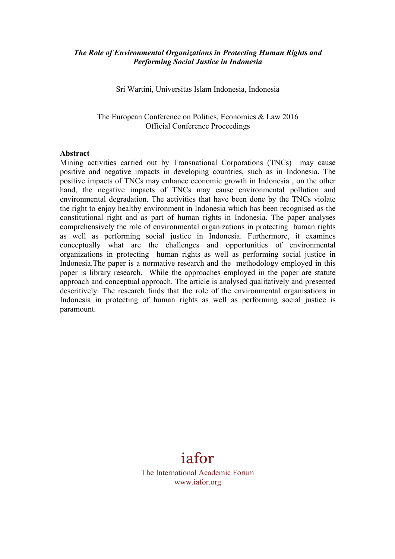#### *The Role of Environmental Organizations in Protecting Human Rights and Performing Social Justice in Indonesia*

Sri Wartini, Universitas Islam Indonesia, Indonesia

The European Conference on Politics, Economics & Law 2016 Official Conference Proceedings

#### **Abstract**

Mining activities carried out by Transnational Corporations (TNCs) may cause positive and negative impacts in developing countries, such as in Indonesia. The positive impacts of TNCs may enhance economic growth in Indonesia , on the other hand, the negative impacts of TNCs may cause environmental pollution and environmental degradation. The activities that have been done by the TNCs violate the right to enjoy healthy environment in Indonesia which has been recognised as the constitutional right and as part of human rights in Indonesia. The paper analyses comprehensively the role of environmental organizations in protecting human rights as well as performing social justice in Indonesia. Furthermore, it examines conceptually what are the challenges and opportunities of environmental organizations in protecting human rights as well as performing social justice in Indonesia.The paper is a normative research and the methodology employed in this paper is library research. While the approaches employed in the paper are statute approach and conceptual approach. The article is analysed qualitatively and presented descritively. The research finds that the role of the environmental organisations in Indonesia in protecting of human rights as well as performing social justice is paramount.

# iafor

The International Academic Forum www.iafor.org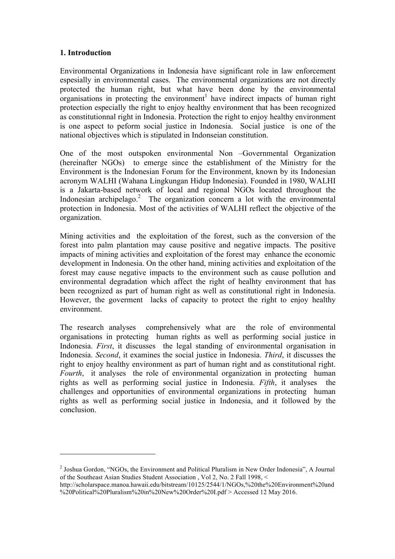#### **1. Introduction**

 $\overline{a}$ 

Environmental Organizations in Indonesia have significant role in law enforcement espesially in environmental cases. The environmental organizations are not directly protected the human right, but what have been done by the environmental organisations in protecting the environment<sup>1</sup> have indirect impacts of human right protection especially the right to enjoy healthy environment that has been recognized as constitutionnal right in Indonesia. Protection the right to enjoy healthy environment is one aspect to peform social justice in Indonesia. Social justice is one of the national objectives which is stipulated in Indonseian constitution.

One of the most outspoken environmental Non –Governmental Organization (hereinafter NGOs) to emerge since the establishment of the Ministry for the Environment is the Indonesian Forum for the Environment, known by its Indonesian acronym WALHI (Wahana Lingkungan Hidup Indonesia). Founded in 1980, WALHI is a Jakarta-based network of local and regional NGOs located throughout the Indonesian archipelago.<sup>2</sup> The organization concern a lot with the environmental protection in Indonesia. Most of the activities of WALHI reflect the objective of the organization.

Mining activities and the exploitation of the forest, such as the conversion of the forest into palm plantation may cause positive and negative impacts. The positive impacts of mining activities and exploitation of the forest may enhance the economic development in Indonesia. On the other hand, mining activities and exploitation of the forest may cause negative impacts to the environment such as cause pollution and environmental degradation which affect the right of healhty environment that has been recognized as part of human right as well as constitutional right in Indonesia. However, the goverment lacks of capacity to protect the right to enjoy healthy environment.

The research analyses comprehensively what are the role of environmental organisations in protecting human rights as well as performing social justice in Indonesia. *First*, it discusses the legal standing of environmental organisation in Indonesia. *Second*, it examines the social justice in Indonesia. *Third*, it discusses the right to enjoy healthy environment as part of human right and as constitutional right. *Fourth*, it analyses the role of environmental organization in protecting human rights as well as performing social justice in Indonesia. *Fifth*, it analyses the challenges and opportunities of environmental organizations in protecting human rights as well as performing social justice in Indonesia, and it followed by the conclusion.

<sup>2</sup> Joshua Gordon, "NGOs, the Environment and Political Pluralism in New Order Indonesia", A Journal of the Southeast Asian Studies Student Association , Vol 2, No. 2 Fall 1998, <

http://scholarspace.manoa.hawaii.edu/bitstream/10125/2544/1/NGOs,%20the%20Environment%20and %20Political%20Pluralism%20in%20New%20Order%20I.pdf > Accessed 12 May 2016.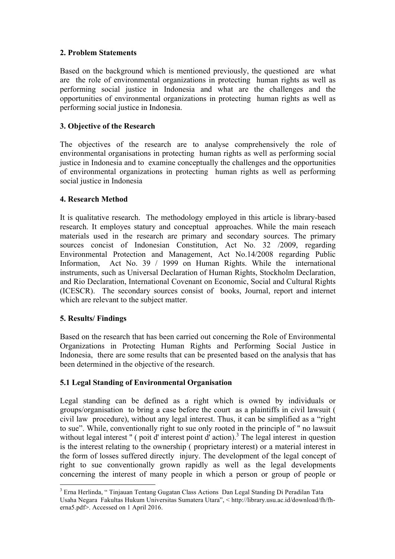## **2. Problem Statements**

Based on the background which is mentioned previously, the questioned are what are the role of environmental organizations in protecting human rights as well as performing social justice in Indonesia and what are the challenges and the opportunities of environmental organizations in protecting human rights as well as performing social justice in Indonesia.

## **3. Objective of the Research**

The objectives of the research are to analyse comprehensively the role of environmental organisations in protecting human rights as well as performing social justice in Indonesia and to examine conceptually the challenges and the opportunities of environmental organizations in protecting human rights as well as performing social justice in Indonesia

## **4. Research Method**

It is qualitative research. The methodology employed in this article is library-based research. It employes statury and conceptual approaches. While the main reseach materials used in the research are primary and secondary sources. The primary sources concist of Indonesian Constitution, Act No. 32 /2009, regarding Environmental Protection and Management, Act No.14/2008 regarding Public Information, Act No. 39 / 1999 on Human Rights. While the international instruments, such as Universal Declaration of Human Rights, Stockholm Declaration, and Rio Declaration, International Covenant on Economic, Social and Cultural Rights (ICESCR). The secondary sources consist of books, Journal, report and internet which are relevant to the subject matter.

# **5. Results/ Findings**

Based on the research that has been carried out concerning the Role of Environmental Organizations in Protecting Human Rights and Performing Social Justice in Indonesia, there are some results that can be presented based on the analysis that has been determined in the objective of the research.

# **5.1 Legal Standing of Environmental Organisation**

Legal standing can be defined as a right which is owned by individuals or groups/organisation to bring a case before the court as a plaintiffs in civil lawsuit ( civil law procedure), without any legal interest. Thus, it can be simplified as a "right to sue". While, conventionally right to sue only rooted in the principle of " no lawsuit without legal interest " (poit d' interest point d' action).<sup>3</sup> The legal interest in question is the interest relating to the ownership ( proprietary interest) or a material interest in the form of losses suffered directly injury. The development of the legal concept of right to sue conventionally grown rapidly as well as the legal developments concerning the interest of many people in which a person or group of people or

 <sup>3</sup> Erna Herlinda, " Tinjauan Tentang Gugatan Class Actions Dan Legal Standing Di Peradilan Tata Usaha Negara Fakultas Hukum Universitas Sumatera Utara", < http://library.usu.ac.id/download/fh/fherna5.pdf>. Accessed on 1 April 2016.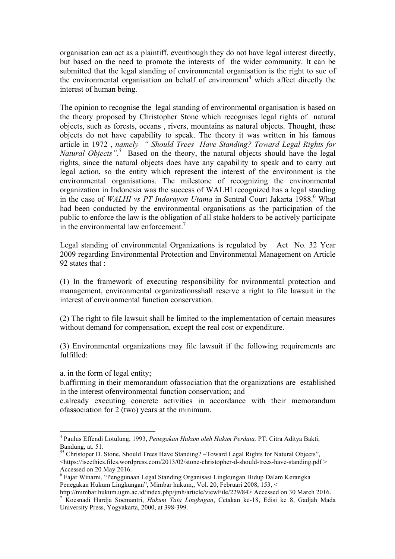organisation can act as a plaintiff, eventhough they do not have legal interest directly, but based on the need to promote the interests of the wider community. It can be submitted that the legal standing of environmental organisation is the right to sue of the environmental organisation on behalf of environment<sup>4</sup> which affect directly the interest of human being.

The opinion to recognise the legal standing of environmental organisation is based on the theory proposed by Christopher Stone which recognises legal rights of natural objects, such as forests, oceans , rivers, mountains as natural objects. Thought, these objects do not have capability to speak. The theory it was written in his famous article in 1972 , *namely " Should Trees Have Standing? Toward Legal Rights for*  Natural Objects".<sup>5</sup> Based on the theory, the natural objects should have the legal rights, since the natural objects does have any capability to speak and to carry out legal action, so the entity which represent the interest of the environment is the environmental organisations. The milestone of recognizing the environmental organization in Indonesia was the success of WALHI recognized has a legal standing in the case of *WALHI vs PT Indorayon Utama* in Sentral Court Jakarta 1988.<sup>6</sup> What had been conducted by the environmental organisations as the participation of the public to enforce the law is the obligation of all stake holders to be actively participate in the environmental law enforcement.<sup>7</sup>

Legal standing of environmental Organizations is regulated by Act No. 32 Year 2009 regarding Environmental Protection and Environmental Management on Article 92 states that :

(1) In the framework of executing responsibility for nvironmental protection and management, environmental organizationsshall reserve a right to file lawsuit in the interest of environmental function conservation.

(2) The right to file lawsuit shall be limited to the implementation of certain measures without demand for compensation, except the real cost or expenditure.

(3) Environmental organizations may file lawsuit if the following requirements are fulfilled:

a. in the form of legal entity;

b.affirming in their memorandum ofassociation that the organizations are established in the interest ofenvironmental function conservation; and

c.already executing concrete activities in accordance with their memorandum ofassociation for 2 (two) years at the minimum.

 <sup>4</sup> Paulus Effendi Lotulung, 1993, *Penegakan Hukum oleh Hakim Perdata,* PT. Citra Aditya Bakti, Bandung, at. 51.<br><sup>55</sup> Christoper D. Stone, Should Trees Have Standing? –Toward Legal Rights for Natural Objects",

<sup>&</sup>lt;https://iseethics.files.wordpress.com/2013/02/stone-christopher-d-should-trees-have-standing.pdf > Accessed on 20 May 2016.

<sup>6</sup> Fajar Winarni, "Penggunaan Legal Standing Organisasi Lingkungan Hidup Dalam Kerangka Penegakan Hukum Lingkungan", Mimbar hukum,, Vol. 20, Februari 2008, 153, <

http://mimbar.hukum.ugm.ac.id/index.php/jmh/article/viewFile/229/84> Accessed on 30 March 2016. <sup>7</sup> Koesnadi Hardja Soemantri, *Hukum Tata Lingkngan*, Cetakan ke-18, Edisi ke 8, Gadjah Mada University Press, Yogyakarta, 2000, at 398-399.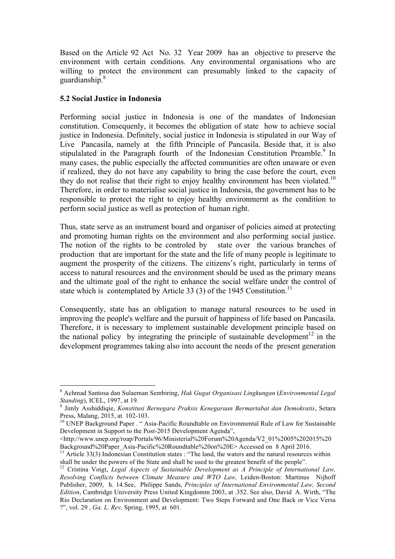Based on the Article 92 Act No. 32 Year 2009 has an objective to preserve the environment with certain conditions. Any environmental organisations who are willing to protect the environment can presumably linked to the capacity of guardianship.<sup>8</sup>

#### **5.2 Social Justice in Indonesia**

Performing social justice in Indonesia is one of the mandates of Indonesian constitution. Consequenly, it becomes the obligation of state how to achieve social justice in Indonesia. Definitely, social justice in Indonesia is stipulated in our Way of Live Pancasila, namely at the fifth Principle of Pancasila. Beside that, it is also stipulalated in the Paragraph fourth of the Indonesian Constitution Preamble.<sup>9</sup> In many cases, the public especially the affected communities are often unaware or even if realized, they do not have any capability to bring the case before the court, even they do not realise that their right to enjoy healthy environment has been violated.<sup>10</sup> Therefore, in order to materialise social justice in Indonesia, the government has to be responsible to protect the right to enjoy healthy environmernt as the condition to perform social justice as well as protection of human right.

Thus, state serve as an instrument board and organiser of policies aimed at protecting and promoting human rights on the environment and also performing social justice. The notion of the rights to be controled by state over the various branches of production that are important for the state and the life of many people is legitimate to augment the prosperity of the citizens. The citizens's right, particularly in terms of access to natural resources and the environment should be used as the primary means and the ultimate goal of the right to enhance the social welfare under the control of state which is contemplated by Article 33 (3) of the 1945 Constitution.<sup>11</sup>

Consequently, state has an obligation to manage natural resources to be used in improving the people's welfare and the pursuit of happiness of life based on Pancasila. Therefore, it is necessary to implement sustainable development principle based on the national policy by integrating the principle of sustainable development<sup>12</sup> in the development programmes taking also into account the needs of the present generation

 <sup>8</sup> Achmad Santosa dan Sulaeman Sembiring, *Hak Gugat Organisasi Lingkungan* (*Environmental Legal Standing*), ICEL, 1997, at 19. <sup>9</sup> Jimly Asshiddiqie, *Konstitusi Bernegara Praksis Kenegaraan Bermartabat dan Demokratis*, Setara

Press, Malang, 2015, at 102-103.<br><sup>10</sup> UNEP Background Paper . "Asia-Pacific Roundtable on Environmental Rule of Law for Sustainable

Development in Support to the Post-2015 Development Agenda",

<sup>&</sup>lt;http://www.unep.org/roap/Portals/96/Ministerial%20Forum%20Agenda/V2\_01%2005%202015%20

<sup>&</sup>lt;sup>11</sup> Article 33(3) Indonesian Constitution states : "The land, the waters and the natural resources within shall be under the powers of the State and shall be used to the greatest benefit of the people".

<sup>&</sup>lt;sup>12</sup> Cristina Voigt, *Legal Aspects of Sustainable Development as A Principle of International Law, Resolving Conflicts between Climate Measure and WTO Law,* Leiden-Boston: Martinus Nijhoff Publisher, 2009, h. 14.See, Philippe Sands, *Principles of International Environmental Law, Second Edition*, Cambridge University Press United Kingdomm 2003, at .352. See also, David A. Wirth, "The Rio Declaration on Environment and Development: Two Steps Forward and One Back or Vice Versa ?", vol. 29 , *Ga. L. Rev,* Spring, 1995, at 601.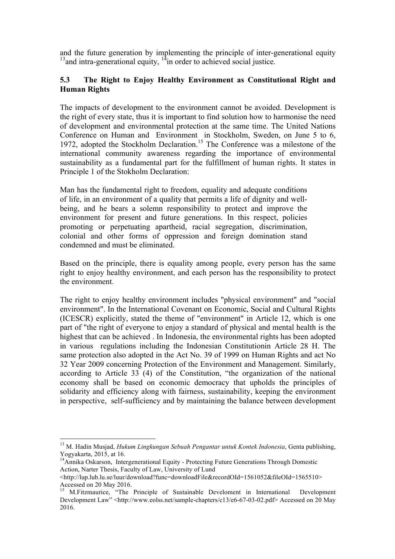and the future generation by implementing the principle of inter-generational equity  $13$  and intra-generational equity,  $14$  in order to achieved social justice.

## **5.3 The Right to Enjoy Healthy Environment as Constitutional Right and Human Rights**

The impacts of development to the environment cannot be avoided. Development is the right of every state, thus it is important to find solution how to harmonise the need of development and environmental protection at the same time. The United Nations Conference on Human and Environment in Stockholm, Sweden, on June 5 to 6, 1972, adopted the Stockholm Declaration.<sup>15</sup> The Conference was a milestone of the international community awareness regarding the importance of environmental sustainability as a fundamental part for the fulfillment of human rights. It states in Principle 1 of the Stokholm Declaration:

Man has the fundamental right to freedom, equality and adequate conditions of life, in an environment of a quality that permits a life of dignity and wellbeing, and he bears a solemn responsibility to protect and improve the environment for present and future generations. In this respect, policies promoting or perpetuating apartheid, racial segregation, discrimination, colonial and other forms of oppression and foreign domination stand condemned and must be eliminated.

Based on the principle, there is equality among people, every person has the same right to enjoy healthy environment, and each person has the responsibility to protect the environment.

The right to enjoy healthy environment includes "physical environment" and "social environment". In the International Covenant on Economic, Social and Cultural Rights (ICESCR) explicitly, stated the theme of "environment" in Article 12, which is one part of "the right of everyone to enjoy a standard of physical and mental health is the highest that can be achieved . In Indonesia, the environmental rights has been adopted in various regulations including the Indonesian Constitutionin Article 28 H. The same protection also adopted in the Act No. 39 of 1999 on Human Rights and act No 32 Year 2009 concerning Protection of the Environment and Management. Similarly, according to Article 33 (4) of the Constitution, "the organization of the national economy shall be based on economic democracy that upholds the principles of solidarity and efficiency along with fairness, sustainability, keeping the environment in perspective, self-sufficiency and by maintaining the balance between development

 <sup>13</sup> M. Hadin Musjad, *Hukum Lingkungan Sebuah Pengantar untuk Kontek Indonesia*, Genta publishing, Yogyakarta, 2015, at 16.

<sup>&</sup>lt;sup>14</sup>Annika Oskarson, Intergenerational Equity - Protecting Future Generations Through Domestic Action, Narter Thesis, Faculty of Law, University of Lund

<sup>&</sup>lt;http://lup.lub.lu.se/luur/download?func=downloadFile&recordOId=1561052&fileOId=1565510> Accessed on 20 May 2016.

<sup>&</sup>lt;sup>15</sup> M.Fitzmaurice, "The Principle of Sustainable Develoment in International Development Development Law" <http://www.eolss.net/sample-chapters/c13/e6-67-03-02.pdf> Accessed on 20 May 2016.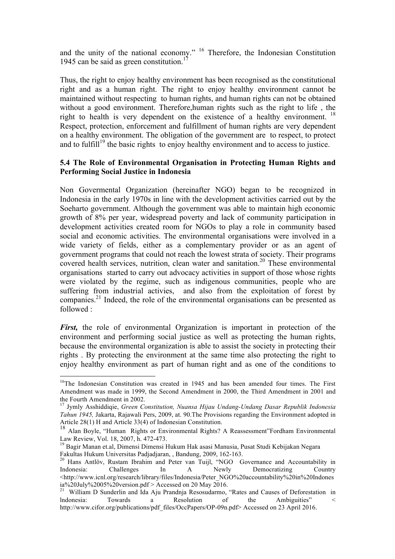and the unity of the national economy." <sup>16</sup> Therefore, the Indonesian Constitution 1945 can be said as green constitution.<sup>17</sup>

Thus, the right to enjoy healthy environment has been recognised as the constitutional right and as a human right. The right to enjoy healthy environment cannot be maintained without respecting to human rights, and human rights can not be obtained without a good environment. Therefore,human rights such as the right to life , the right to health is very dependent on the existence of a healthy environment. <sup>18</sup> Respect, protection, enforcement and fulfillment of human rights are very dependent on a healthy environment. The obligation of the government are to respect, to protect and to fulfill<sup>19</sup> the basic rights to enjoy healthy environment and to access to justice.

#### **5.4 The Role of Environmental Organisation in Protecting Human Rights and Performing Social Justice in Indonesia**

Non Govermental Organization (hereinafter NGO) began to be recognized in Indonesia in the early 1970s in line with the development activities carried out by the Soeharto government. Although the government was able to maintain high economic growth of 8% per year, widespread poverty and lack of community participation in development activities created room for NGOs to play a role in community based social and economic activities. The environmental organisations were involved in a wide variety of fields, either as a complementary provider or as an agent of government programs that could not reach the lowest strata of society. Their programs covered health services, nutrition, clean water and sanitation.<sup>20</sup> These environmental organisations started to carry out advocacy activities in support of those whose rights were violated by the regime, such as indigenous communities, people who are suffering from industrial activies, and also from the exploitation of forest by companies.21 Indeed, the role of the environmental organisations can be presented as followed :

*First*, the role of environmental Organization is important in protection of the environment and performing social justice as well as protecting the human rights, because the environmental organization is able to assist the society in protecting their rights . By protecting the environment at the same time also protecting the right to enjoy healthy environment as part of human right and as one of the conditions to

 $16$ The Indonesian Constitution was created in 1945 and has been amended four times. The First Amendment was made in 1999, the Second Amendment in 2000, the Third Amendment in 2001 and the Fourth Amendment in 2002.

<sup>17</sup> Jymly Asshiddiqie, *Green Constitution, Nuansa Hijau Undang-Undang Dasar Republik Indonesia Tahun 1945,* Jakarta, Rajawali Pers, 2009, at. 90.The Provisions regarding the Environment adopted in Article 28(1) H and Article 33(4) of Indonesian Constitution.

<sup>18</sup> Alan Boyle, "Human Rights or Environmental Rights? A Reassessment"Fordham Environmental

Law Review, Vol. 18, 2007, h. 472-473.<br><sup>19</sup> Bagir Manan et.al, Dimensi Dimensi Hukum Hak asasi Manusia, Pusat Studi Kebijakan Negara<br>Fakultas Hukum Universitas Padjadjaran, , Bandung, 2009, 162-163.

<sup>&</sup>lt;sup>20</sup> Hans Antlöv, Rustam Ibrahim and Peter van Tuijl, "NGO Governance and Accountability in Indonesia: Challenges In A Newly Democratizing Country <http://www.icnl.org/research/library/files/Indonesia/Peter\_NGO%20accountability%20in%20Indones ia%20July%2005%20version.pdf > Accessed on 20 May 2016.<br><sup>21</sup> William D Sunderlin and Ida Aju Prandnja Resosudarmo, "Rates and Causes of Deforestation in

lndonesia: Towards a Resolution of the Ambiguities" < http://www.cifor.org/publications/pdf\_files/OccPapers/OP-09n.pdf> Accessed on 23 April 2016.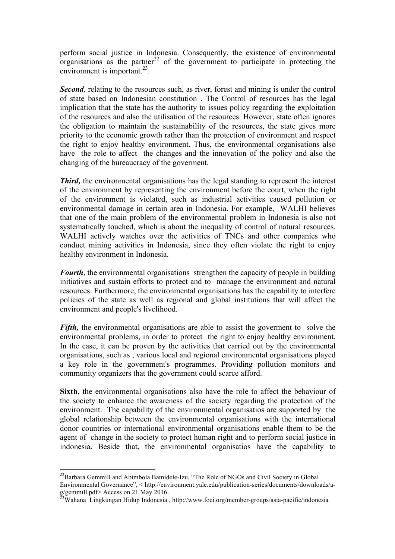perform social justice in Indonesia. Consequently, the existence of environmental organisations as the partner<sup>22</sup> of the government to participate in protecting the environment is important. $^{23}$ .

**Second**, relating to the resources such, as river, forest and mining is under the control of state based on Indonesian constitution . The Control of resources has the legal implication that the state has the authority to issues policy regarding the exploitation of the resources and also the utilisation of the resources. However, state often ignores the obligation to maintain the sustainability of the resources, the state gives more priority to the economic growth rather than the protection of environment and respect the right to enjoy healthy environment. Thus, the environmental organisations also have the role to affect the changes and the innovation of the policy and also the changing of the bureaucracy of the goverment.

*Third*, the environmental organisations has the legal standing to represent the interest of the environment by representing the environment before the court, when the right of the environment is violated, such as industrial activities caused pollution or environmental damage in certain area in Indonesia. For example, WALHI believes that one of the main problem of the environmental problem in Indonesia is also not systematically touched, which is about the inequality of control of natural resources. WALHI actively watches over the activities of TNCs and other companies who conduct mining activities in Indonesia, since they often violate the right to enjoy healthy environment in Indonesia.

*Fourth*, the environmental organisations strengthen the capacity of people in building initiatives and sustain efforts to protect and to manage the environment and natural resources. Furthermore, the environmental organisations has the capability to interfere policies of the state as well as regional and global institutions that will affect the environment and people's livelihood.

*Fifth*, the environmental organisations are able to assist the goverment to solve the environmental problems, in order to protect the right to enjoy healthy environment. In the case, it can be proven by the activities that carried out by the environmental organisations, such as , various local and regional environmental organisations played a key role in the government's programmes. Providing pollution monitors and community organizers that the government could scarce afford.

**Sixth,** the environmental organisations also have the role to affect the behaviour of the society to enhance the awareness of the society regarding the protection of the environment. The capability of the environmental organisatios are supported by the global relationship between the environmental organisations with the international donor countries or international environmental organisations enable them to be the agent of change in the society to protect human right and to perform social justice in indonesia. Beside that, the environmental organisatios have the capability to

<sup>&</sup>lt;sup>22</sup>Barbara Gemmill and Abimbola Bamidele-Izu, "The Role of NGOs and Civil Society in Global Environmental Governance", < http://environment.yale.edu/publication-series/documents/downloads/ag/gemmill.pdf> Access on 21 May 2016.<br><sup>23</sup>Wahana Lingkungan Hidup Indonesia , http://www.foei.org/member-groups/asia-pacific/indonesia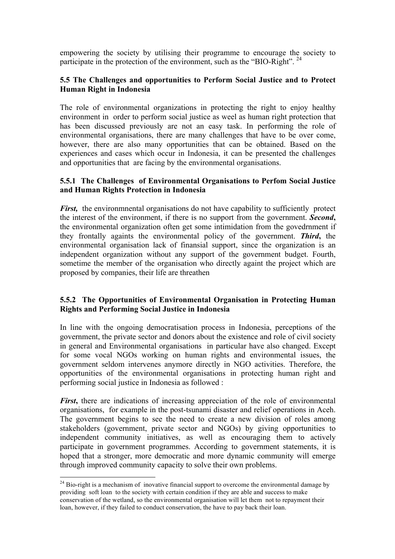empowering the society by utilising their programme to encourage the society to participate in the protection of the environment, such as the "BIO-Right".  $^{24}$ 

## **5.5 The Challenges and opportunities to Perform Social Justice and to Protect Human Right in Indonesia**

The role of environmental organizations in protecting the right to enjoy healthy environment in order to perform social justice as weel as human right protection that has been discussed previously are not an easy task. In performing the role of environmental organisations, there are many challenges that have to be over come, however, there are also many opportunities that can be obtained. Based on the experiences and cases which occur in Indonesia, it can be presented the challenges and opportunities that are facing by the environmental organisations.

#### **5.5.1 The Challenges of Environmental Organisations to Perfom Social Justice and Human Rights Protection in Indonesia**

*First*, the environmental organisations do not have capability to sufficiently protect the interest of the environment, if there is no support from the government. *Second***,** the environmental organization often get some intimidation from the govedrnment if they frontally againts the environmental policy of the government. *Third***,** the environmental organisation lack of finansial support, since the organization is an independent organization without any support of the government budget. Fourth, sometime the member of the organisation who directly againt the project which are proposed by companies, their life are threathen

## **5.5.2 The Opportunities of Environmental Organisation in Protecting Human Rights and Performing Social Justice in Indonesia**

In line with the ongoing democratisation process in Indonesia, perceptions of the government, the private sector and donors about the existence and role of civil society in general and Environmental organisations in particular have also changed. Except for some vocal NGOs working on human rights and environmental issues, the government seldom intervenes anymore directly in NGO activities. Therefore, the opportunities of the environmental organisations in protecting human right and performing social justice in Indonesia as followed :

*First*, there are indications of increasing appreciation of the role of environmental organisations, for example in the post-tsunami disaster and relief operations in Aceh. The government begins to see the need to create a new division of roles among stakeholders (government, private sector and NGOs) by giving opportunities to independent community initiatives, as well as encouraging them to actively participate in government programmes. According to government statements, it is hoped that a stronger, more democratic and more dynamic community will emerge through improved community capacity to solve their own problems.

 $24$  Bio-right is a mechanism of inovative financial support to overcome the environmental damage by providing soft loan to the society with certain condition if they are able and success to make conservation of the wetland, so the environmental organisation will let them not to repayment their loan, however, if they failed to conduct conservation, the have to pay back their loan.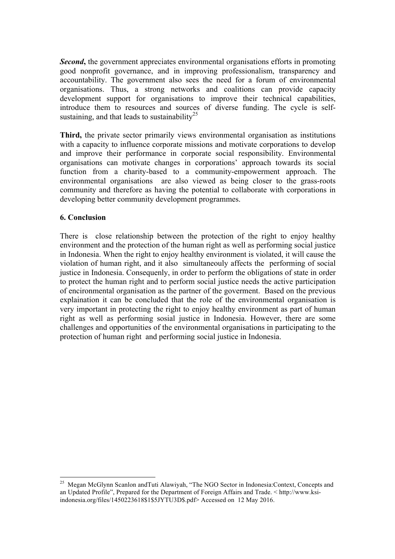*Second*, the government appreciates environmental organisations efforts in promoting good nonprofit governance, and in improving professionalism, transparency and accountability. The government also sees the need for a forum of environmental organisations. Thus, a strong networks and coalitions can provide capacity development support for organisations to improve their technical capabilities, introduce them to resources and sources of diverse funding. The cycle is selfsustaining, and that leads to sustainability<sup>25</sup>

**Third,** the private sector primarily views environmental organisation as institutions with a capacity to influence corporate missions and motivate corporations to develop and improve their performance in corporate social responsibility. Environmental organisations can motivate changes in corporations' approach towards its social function from a charity-based to a community-empowerment approach. The environmental organisations are also viewed as being closer to the grass-roots community and therefore as having the potential to collaborate with corporations in developing better community development programmes.

#### **6. Conclusion**

There is close relationship between the protection of the right to enjoy healthy environment and the protection of the human right as well as performing social justice in Indonesia. When the right to enjoy healthy environment is violated, it will cause the violation of human right, and it also simultaneouly affects the performing of social justice in Indonesia. Consequenly, in order to perform the obligations of state in order to protect the human right and to perform social justice needs the active participation of encironmental organisation as the partner of the goverment. Based on the previous explaination it can be concluded that the role of the environmental organisation is very important in protecting the right to enjoy healthy environment as part of human right as well as performing sosial justice in Indonesia. However, there are some challenges and opportunities of the environmental organisations in participating to the protection of human right and performing social justice in Indonesia.

<sup>&</sup>lt;sup>25</sup> Megan McGlynn Scanlon andTuti Alawiyah, "The NGO Sector in Indonesia:Context, Concepts and an Updated Profile", Prepared for the Department of Foreign Affairs and Trade. < http://www.ksiindonesia.org/files/1450223618\$1\$5JYTU3D\$.pdf> Accessed on 12 May 2016.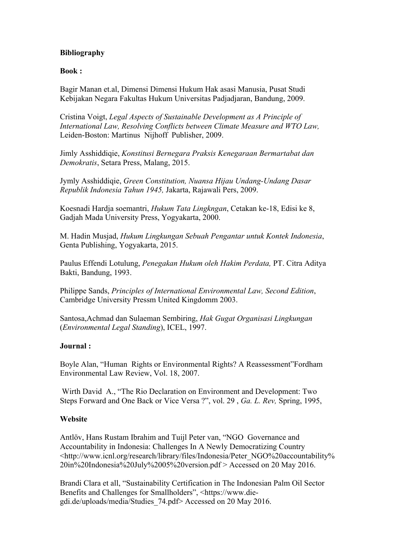## **Bibliography**

#### **Book :**

Bagir Manan et.al, Dimensi Dimensi Hukum Hak asasi Manusia, Pusat Studi Kebijakan Negara Fakultas Hukum Universitas Padjadjaran, Bandung, 2009.

Cristina Voigt, *Legal Aspects of Sustainable Development as A Principle of International Law, Resolving Conflicts between Climate Measure and WTO Law,*  Leiden-Boston: Martinus Nijhoff Publisher, 2009.

Jimly Asshiddiqie, *Konstitusi Bernegara Praksis Kenegaraan Bermartabat dan Demokratis*, Setara Press, Malang, 2015.

Jymly Asshiddiqie, *Green Constitution, Nuansa Hijau Undang-Undang Dasar Republik Indonesia Tahun 1945,* Jakarta, Rajawali Pers, 2009.

Koesnadi Hardja soemantri, *Hukum Tata Lingkngan*, Cetakan ke-18, Edisi ke 8, Gadjah Mada University Press, Yogyakarta, 2000.

M. Hadin Musjad, *Hukum Lingkungan Sebuah Pengantar untuk Kontek Indonesia*, Genta Publishing, Yogyakarta, 2015.

Paulus Effendi Lotulung, *Penegakan Hukum oleh Hakim Perdata,* PT. Citra Aditya Bakti, Bandung, 1993.

Philippe Sands, *Principles of International Environmental Law, Second Edition*, Cambridge University Pressm United Kingdomm 2003.

Santosa,Achmad dan Sulaeman Sembiring, *Hak Gugat Organisasi Lingkungan*  (*Environmental Legal Standing*), ICEL, 1997.

## **Journal :**

Boyle Alan, "Human Rights or Environmental Rights? A Reassessment"Fordham Environmental Law Review, Vol. 18, 2007.

Wirth David A., "The Rio Declaration on Environment and Development: Two Steps Forward and One Back or Vice Versa ?", vol. 29 , *Ga. L. Rev,* Spring, 1995,

## **Website**

Antlöv, Hans Rustam Ibrahim and Tuijl Peter van, "NGO Governance and Accountability in Indonesia: Challenges In A Newly Democratizing Country <http://www.icnl.org/research/library/files/Indonesia/Peter\_NGO%20accountability% 20in%20Indonesia%20July%2005%20version.pdf > Accessed on 20 May 2016.

Brandi Clara et all, "Sustainability Certification in The Indonesian Palm Oil Sector Benefits and Challenges for Smallholders", <https://www.diegdi.de/uploads/media/Studies\_74.pdf> Accessed on 20 May 2016.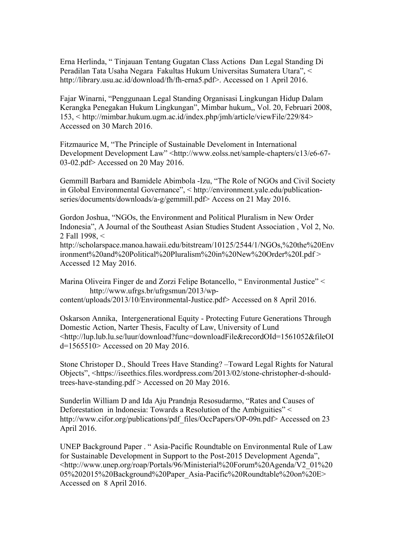Erna Herlinda, " Tinjauan Tentang Gugatan Class Actions Dan Legal Standing Di Peradilan Tata Usaha Negara Fakultas Hukum Universitas Sumatera Utara", < http://library.usu.ac.id/download/fh/fh-erna5.pdf>. Accessed on 1 April 2016.

Fajar Winarni, "Penggunaan Legal Standing Organisasi Lingkungan Hidup Dalam Kerangka Penegakan Hukum Lingkungan", Mimbar hukum,, Vol. 20, Februari 2008, 153, < http://mimbar.hukum.ugm.ac.id/index.php/jmh/article/viewFile/229/84> Accessed on 30 March 2016.

Fitzmaurice M, "The Principle of Sustainable Develoment in International Development Development Law" <http://www.eolss.net/sample-chapters/c13/e6-67- 03-02.pdf> Accessed on 20 May 2016.

Gemmill Barbara and Bamidele Abimbola -Izu, "The Role of NGOs and Civil Society in Global Environmental Governance", < http://environment.yale.edu/publicationseries/documents/downloads/a-g/gemmill.pdf> Access on 21 May 2016.

Gordon Joshua, "NGOs, the Environment and Political Pluralism in New Order Indonesia", A Journal of the Southeast Asian Studies Student Association , Vol 2, No. 2 Fall 1998, <

http://scholarspace.manoa.hawaii.edu/bitstream/10125/2544/1/NGOs,%20the%20Env ironment%20and%20Political%20Pluralism%20in%20New%20Order%20I.pdf > Accessed 12 May 2016.

Marina Oliveira Finger de and Zorzi Felipe Botancello, " Environmental Justice" < http://www.ufrgs.br/ufrgsmun/2013/wp-

content/uploads/2013/10/Environmental-Justice.pdf> Accessed on 8 April 2016.

Oskarson Annika, Intergenerational Equity - Protecting Future Generations Through Domestic Action, Narter Thesis, Faculty of Law, University of Lund <http://lup.lub.lu.se/luur/download?func=downloadFile&recordOId=1561052&fileOI d=1565510> Accessed on 20 May 2016.

Stone Christoper D., Should Trees Have Standing? –Toward Legal Rights for Natural Objects", <https://iseethics.files.wordpress.com/2013/02/stone-christopher-d-shouldtrees-have-standing.pdf > Accessed on 20 May 2016.

Sunderlin William D and Ida Aju Prandnja Resosudarmo, "Rates and Causes of Deforestation in lndonesia: Towards a Resolution of the Ambiguities" < http://www.cifor.org/publications/pdf\_files/OccPapers/OP-09n.pdf> Accessed on 23 April 2016.

UNEP Background Paper . " Asia-Pacific Roundtable on Environmental Rule of Law for Sustainable Development in Support to the Post-2015 Development Agenda", <http://www.unep.org/roap/Portals/96/Ministerial%20Forum%20Agenda/V2\_01%20 05%202015%20Background%20Paper\_Asia-Pacific%20Roundtable%20on%20E> Accessed on 8 April 2016.